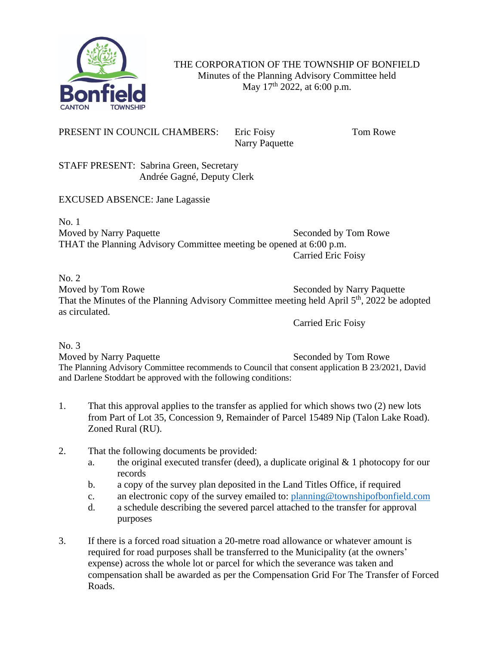

THE CORPORATION OF THE TOWNSHIP OF BONFIELD Minutes of the Planning Advisory Committee held May  $17^{th}$  2022, at 6:00 p.m.

PRESENT IN COUNCIL CHAMBERS: Eric Foisy Tom Rowe

Narry Paquette

STAFF PRESENT: Sabrina Green, Secretary Andrée Gagné, Deputy Clerk

EXCUSED ABSENCE: Jane Lagassie

No. 1 Moved by Narry Paquette Seconded by Tom Rowe THAT the Planning Advisory Committee meeting be opened at 6:00 p.m. Carried Eric Foisy

No. 2

Moved by Tom Rowe Seconded by Narry Paquette That the Minutes of the Planning Advisory Committee meeting held April 5<sup>th</sup>, 2022 be adopted as circulated.

Carried Eric Foisy

No. 3

Moved by Narry Paquette Seconded by Tom Rowe The Planning Advisory Committee recommends to Council that consent application B 23/2021, David and Darlene Stoddart be approved with the following conditions:

- 1. That this approval applies to the transfer as applied for which shows two (2) new lots from Part of Lot 35, Concession 9, Remainder of Parcel 15489 Nip (Talon Lake Road). Zoned Rural (RU).
- 2. That the following documents be provided:
	- a. the original executed transfer (deed), a duplicate original  $& 1$  photocopy for our records
	- b. a copy of the survey plan deposited in the Land Titles Office, if required
	- c. an electronic copy of the survey emailed to: [planning@townshipofbonfield.com](mailto:planning@townshipofbonfield.com)
	- d. a schedule describing the severed parcel attached to the transfer for approval purposes
- 3. If there is a forced road situation a 20-metre road allowance or whatever amount is required for road purposes shall be transferred to the Municipality (at the owners' expense) across the whole lot or parcel for which the severance was taken and compensation shall be awarded as per the Compensation Grid For The Transfer of Forced Roads.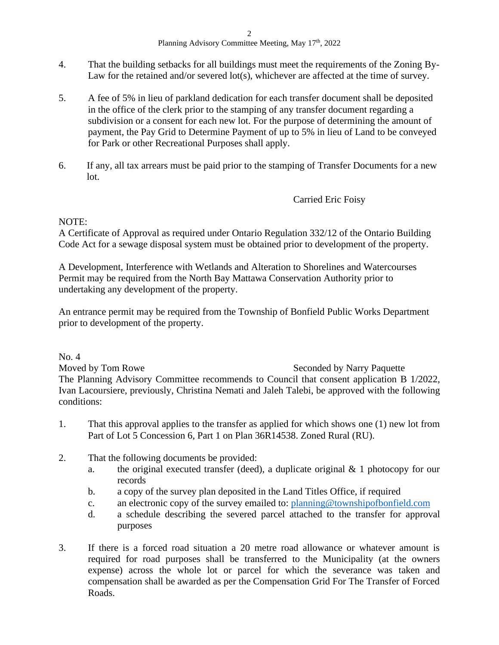- 4. That the building setbacks for all buildings must meet the requirements of the Zoning By-Law for the retained and/or severed lot(s), whichever are affected at the time of survey.
- 5. A fee of 5% in lieu of parkland dedication for each transfer document shall be deposited in the office of the clerk prior to the stamping of any transfer document regarding a subdivision or a consent for each new lot. For the purpose of determining the amount of payment, the Pay Grid to Determine Payment of up to 5% in lieu of Land to be conveyed for Park or other Recreational Purposes shall apply.
- 6. If any, all tax arrears must be paid prior to the stamping of Transfer Documents for a new lot.

## NOTE:

A Certificate of Approval as required under Ontario Regulation 332/12 of the Ontario Building Code Act for a sewage disposal system must be obtained prior to development of the property.

A Development, Interference with Wetlands and Alteration to Shorelines and Watercourses Permit may be required from the North Bay Mattawa Conservation Authority prior to undertaking any development of the property.

An entrance permit may be required from the Township of Bonfield Public Works Department prior to development of the property.

No. 4 Moved by Tom Rowe Seconded by Narry Paquette The Planning Advisory Committee recommends to Council that consent application B 1/2022, Ivan Lacoursiere, previously, Christina Nemati and Jaleh Talebi, be approved with the following conditions:

- 1. That this approval applies to the transfer as applied for which shows one (1) new lot from Part of Lot 5 Concession 6, Part 1 on Plan 36R14538. Zoned Rural (RU).
- 2. That the following documents be provided:
	- a. the original executed transfer (deed), a duplicate original  $& 1$  photocopy for our records
	- b. a copy of the survey plan deposited in the Land Titles Office, if required
	- c. an electronic copy of the survey emailed to: [planning@townshipofbonfield.com](mailto:planning@townshipofbonfield.com)
	- d. a schedule describing the severed parcel attached to the transfer for approval purposes
- 3. If there is a forced road situation a 20 metre road allowance or whatever amount is required for road purposes shall be transferred to the Municipality (at the owners expense) across the whole lot or parcel for which the severance was taken and compensation shall be awarded as per the Compensation Grid For The Transfer of Forced Roads.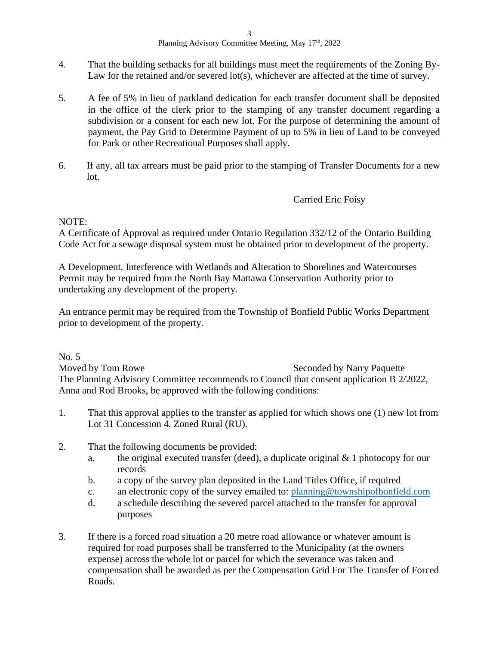- 4. That the building setbacks for all buildings must meet the requirements of the Zoning By-Law for the retained and/or severed lot(s), whichever are affected at the time of survey.
- 5. A fee of 5% in lieu of parkland dedication for each transfer document shall be deposited in the office of the clerk prior to the stamping of any transfer document regarding a subdivision or a consent for each new lot. For the purpose of determining the amount of payment, the Pay Grid to Determine Payment of up to 5% in lieu of Land to be conveyed for Park or other Recreational Purposes shall apply.
- 6. If any, all tax arrears must be paid prior to the stamping of Transfer Documents for a new lot.

## NOTE:

A Certificate of Approval as required under Ontario Regulation 332/12 of the Ontario Building Code Act for a sewage disposal system must be obtained prior to development of the property.

A Development, Interference with Wetlands and Alteration to Shorelines and Watercourses Permit may be required from the North Bay Mattawa Conservation Authority prior to undertaking any development of the property.

An entrance permit may be required from the Township of Bonfield Public Works Department prior to development of the property.

No. 5 Moved by Tom Rowe Seconded by Narry Paquette The Planning Advisory Committee recommends to Council that consent application B 2/2022, Anna and Rod Brooks, be approved with the following conditions:

- 1. That this approval applies to the transfer as applied for which shows one (1) new lot from Lot 31 Concession 4. Zoned Rural (RU).
- 2. That the following documents be provided:
	- a. the original executed transfer (deed), a duplicate original & 1 photocopy for our records
	- b. a copy of the survey plan deposited in the Land Titles Office, if required
	- c. an electronic copy of the survey emailed to: [planning@townshipofbonfield.com](mailto:planning@townshipofbonfield.com)
	- d. a schedule describing the severed parcel attached to the transfer for approval purposes
- 3. If there is a forced road situation a 20 metre road allowance or whatever amount is required for road purposes shall be transferred to the Municipality (at the owners expense) across the whole lot or parcel for which the severance was taken and compensation shall be awarded as per the Compensation Grid For The Transfer of Forced Roads.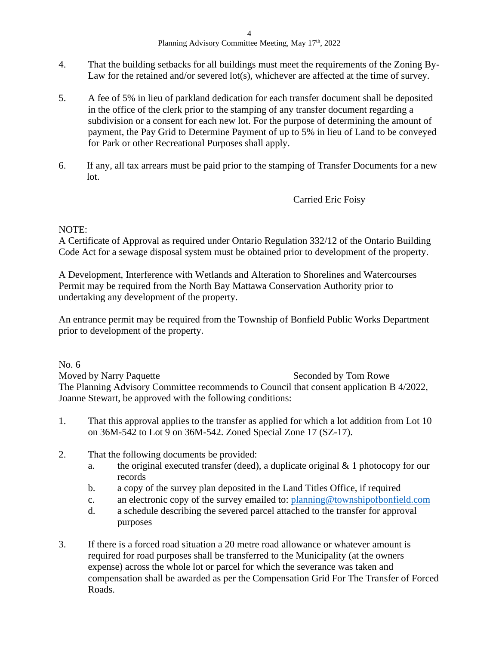- 4. That the building setbacks for all buildings must meet the requirements of the Zoning By-Law for the retained and/or severed lot(s), whichever are affected at the time of survey.
- 5. A fee of 5% in lieu of parkland dedication for each transfer document shall be deposited in the office of the clerk prior to the stamping of any transfer document regarding a subdivision or a consent for each new lot. For the purpose of determining the amount of payment, the Pay Grid to Determine Payment of up to 5% in lieu of Land to be conveyed for Park or other Recreational Purposes shall apply.
- 6. If any, all tax arrears must be paid prior to the stamping of Transfer Documents for a new lot.

## NOTE:

A Certificate of Approval as required under Ontario Regulation 332/12 of the Ontario Building Code Act for a sewage disposal system must be obtained prior to development of the property.

A Development, Interference with Wetlands and Alteration to Shorelines and Watercourses Permit may be required from the North Bay Mattawa Conservation Authority prior to undertaking any development of the property.

An entrance permit may be required from the Township of Bonfield Public Works Department prior to development of the property.

No. 6

Moved by Narry Paquette Seconded by Tom Rowe The Planning Advisory Committee recommends to Council that consent application B 4/2022, Joanne Stewart, be approved with the following conditions:

- 1. That this approval applies to the transfer as applied for which a lot addition from Lot 10 on 36M-542 to Lot 9 on 36M-542. Zoned Special Zone 17 (SZ-17).
- 2. That the following documents be provided:
	- a. the original executed transfer (deed), a duplicate original  $& 1$  photocopy for our records
	- b. a copy of the survey plan deposited in the Land Titles Office, if required
	- c. an electronic copy of the survey emailed to: [planning@townshipofbonfield.com](mailto:planning@townshipofbonfield.com)
	- d. a schedule describing the severed parcel attached to the transfer for approval purposes
- 3. If there is a forced road situation a 20 metre road allowance or whatever amount is required for road purposes shall be transferred to the Municipality (at the owners expense) across the whole lot or parcel for which the severance was taken and compensation shall be awarded as per the Compensation Grid For The Transfer of Forced Roads.